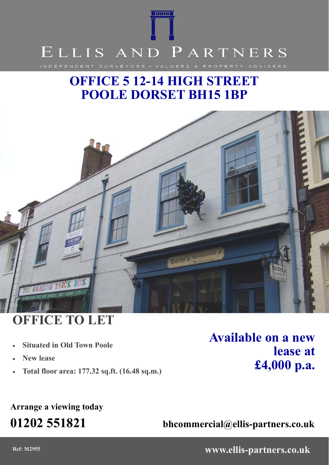

# **OFFICE 5 12-14 HIGH STREET POOLE DORSET BH15 1BP**



# **OFFICE TO LET**

- **Situated in Old Town Poole**
- **New lease**
- **Total floor area: 177.32 sq.ft. (16.48 sq.m.)**

**Available on a new lease at £4,000 p.a.**

## **Arrange a viewing today**

**01202 551821 bhcommercial@ellis-partners.co.uk**

**Ref: M2955 www.ellis-partners.co.uk**